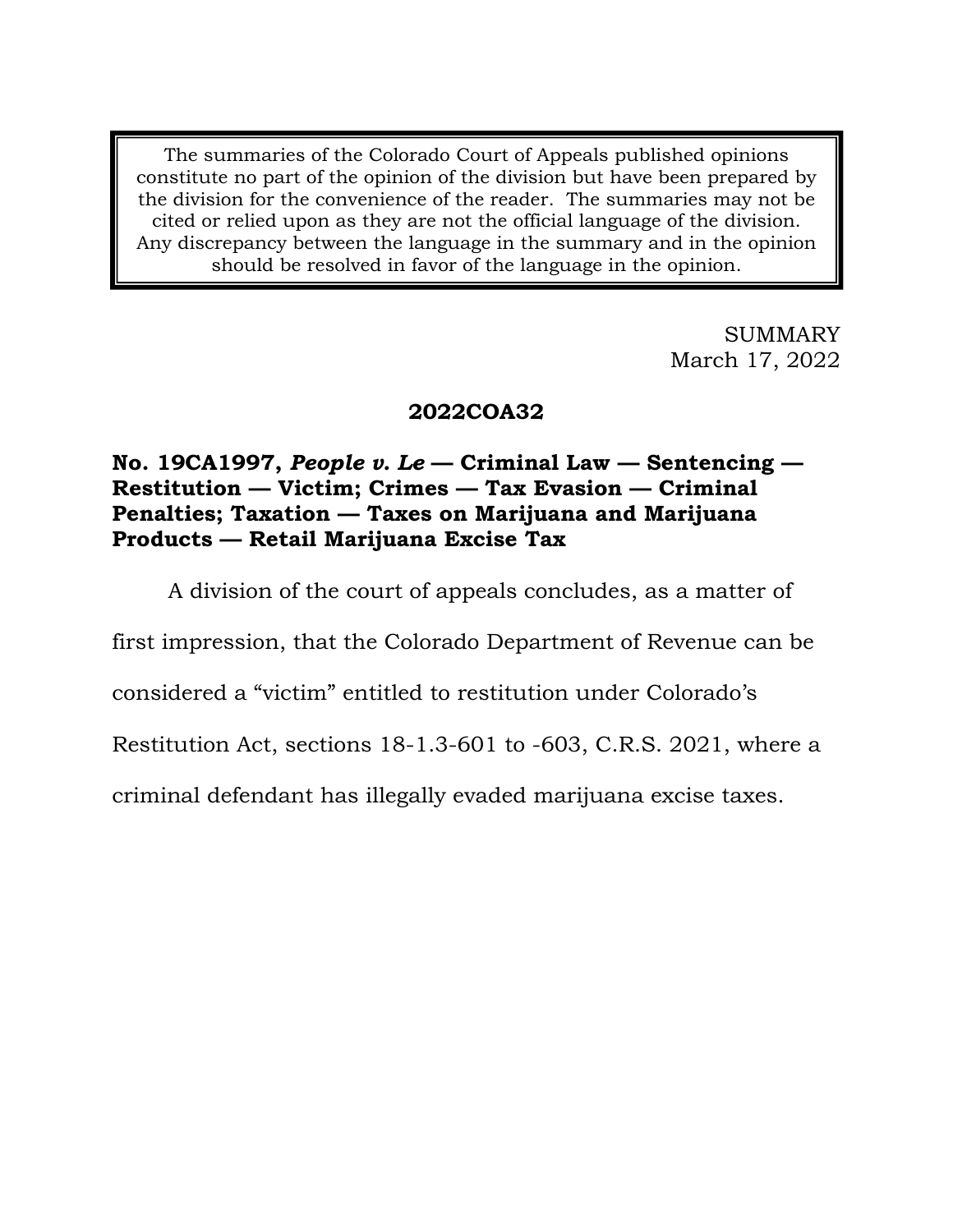The summaries of the Colorado Court of Appeals published opinions constitute no part of the opinion of the division but have been prepared by the division for the convenience of the reader. The summaries may not be cited or relied upon as they are not the official language of the division. Any discrepancy between the language in the summary and in the opinion should be resolved in favor of the language in the opinion.

> SUMMARY March 17, 2022

# **2022COA32**

# **No. 19CA1997,** *People v. Le* **— Criminal Law — Sentencing — Restitution — Victim; Crimes — Tax Evasion — Criminal Penalties; Taxation — Taxes on Marijuana and Marijuana Products — Retail Marijuana Excise Tax**

A division of the court of appeals concludes, as a matter of

first impression, that the Colorado Department of Revenue can be

considered a "victim" entitled to restitution under Colorado's

Restitution Act, sections 18-1.3-601 to -603, C.R.S. 2021, where a

criminal defendant has illegally evaded marijuana excise taxes.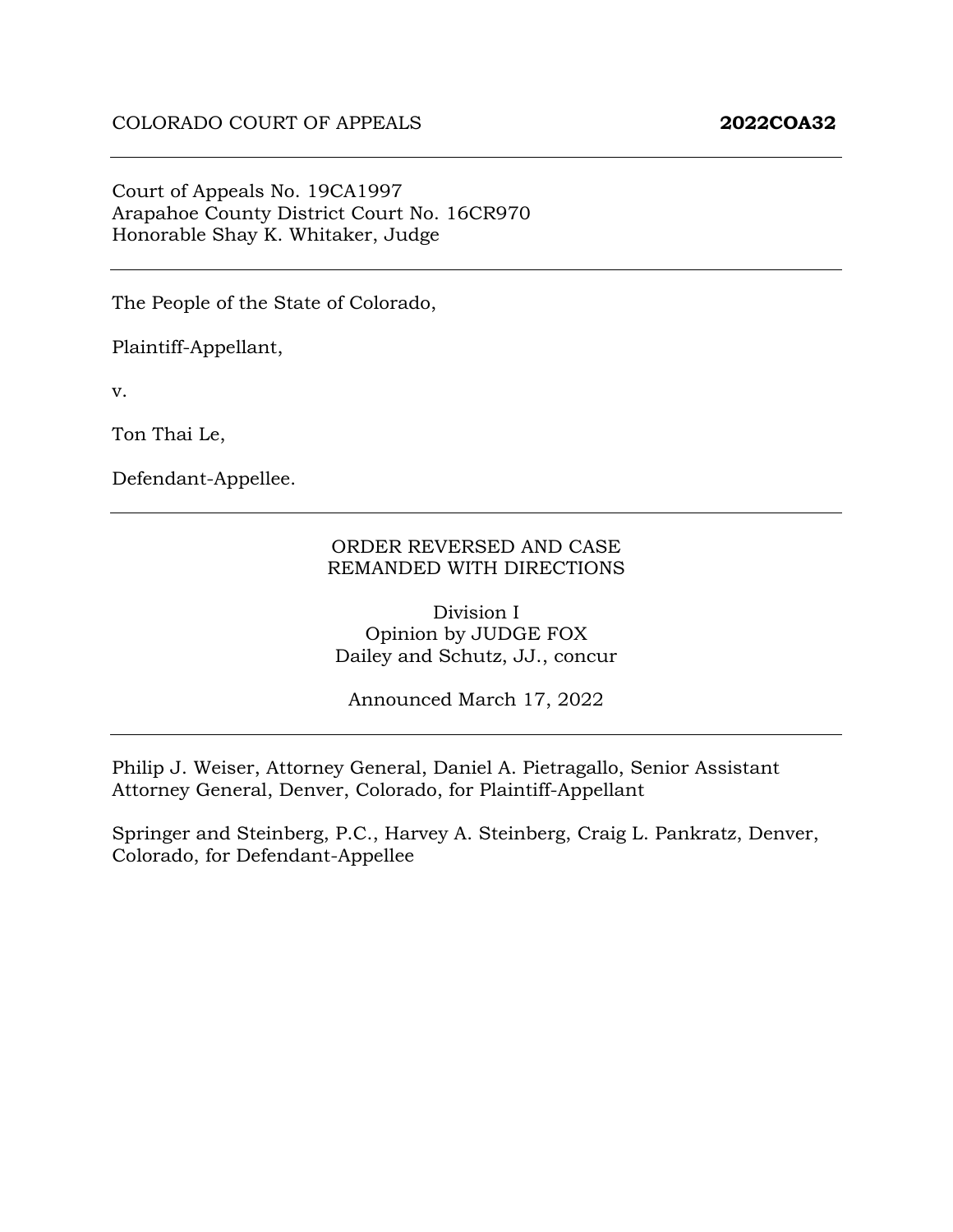#### Court of Appeals No. 19CA1997 Arapahoe County District Court No. 16CR970 Honorable Shay K. Whitaker, Judge

The People of the State of Colorado,

Plaintiff-Appellant,

v.

Ton Thai Le,

Defendant-Appellee.

#### ORDER REVERSED AND CASE REMANDED WITH DIRECTIONS

Division I Opinion by JUDGE FOX Dailey and Schutz, JJ., concur

Announced March 17, 2022

Philip J. Weiser, Attorney General, Daniel A. Pietragallo, Senior Assistant Attorney General, Denver, Colorado, for Plaintiff-Appellant

Springer and Steinberg, P.C., Harvey A. Steinberg, Craig L. Pankratz, Denver, Colorado, for Defendant-Appellee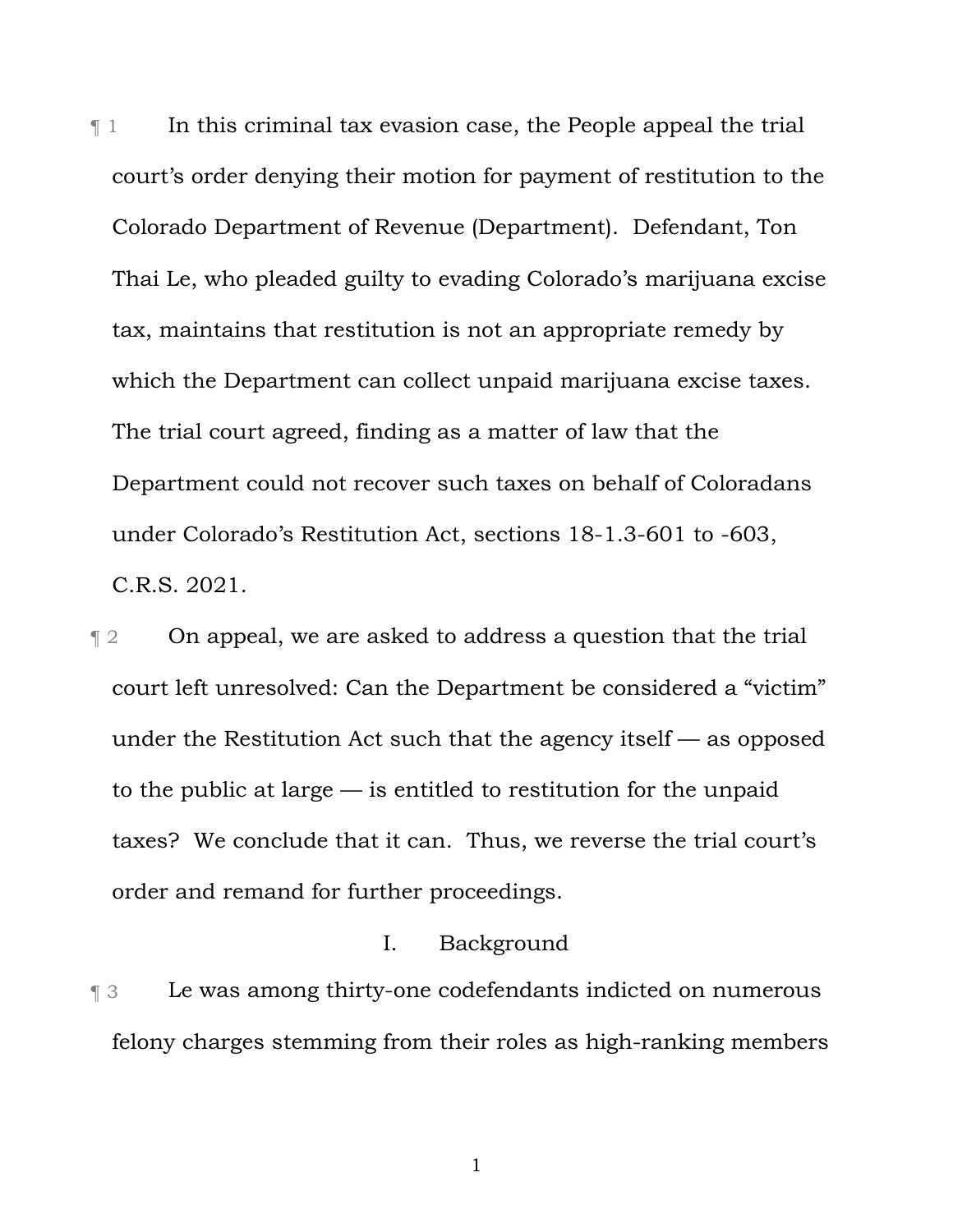$\P$  1 In this criminal tax evasion case, the People appeal the trial court's order denying their motion for payment of restitution to the Colorado Department of Revenue (Department). Defendant, Ton Thai Le, who pleaded guilty to evading Colorado's marijuana excise tax, maintains that restitution is not an appropriate remedy by which the Department can collect unpaid marijuana excise taxes. The trial court agreed, finding as a matter of law that the Department could not recover such taxes on behalf of Coloradans under Colorado's Restitution Act, sections 18-1.3-601 to -603, C.R.S. 2021.

**The 2** On appeal, we are asked to address a question that the trial court left unresolved: Can the Department be considered a "victim" under the Restitution Act such that the agency itself — as opposed to the public at large — is entitled to restitution for the unpaid taxes? We conclude that it can. Thus, we reverse the trial court's order and remand for further proceedings.

### I. Background

¶ 3 Le was among thirty-one codefendants indicted on numerous felony charges stemming from their roles as high-ranking members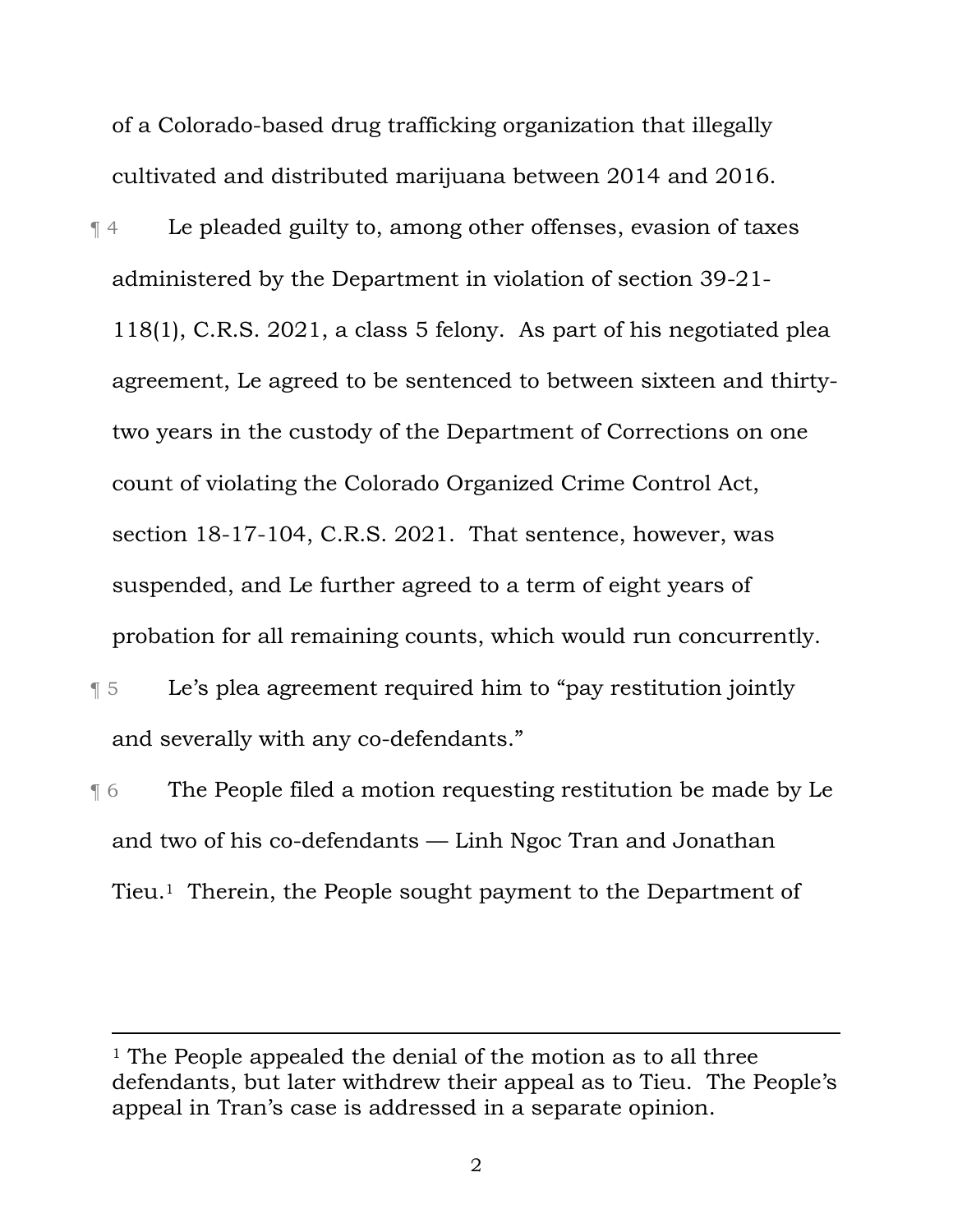of a Colorado-based drug trafficking organization that illegally cultivated and distributed marijuana between 2014 and 2016.

¶ 4 Le pleaded guilty to, among other offenses, evasion of taxes administered by the Department in violation of section 39-21- 118(1), C.R.S. 2021, a class 5 felony. As part of his negotiated plea agreement, Le agreed to be sentenced to between sixteen and thirtytwo years in the custody of the Department of Corrections on one count of violating the Colorado Organized Crime Control Act, section 18-17-104, C.R.S. 2021. That sentence, however, was suspended, and Le further agreed to a term of eight years of probation for all remaining counts, which would run concurrently.

- ¶ 5 Le's plea agreement required him to "pay restitution jointly and severally with any co-defendants."
- ¶ 6 The People filed a motion requesting restitution be made by Le and two of his co-defendants — Linh Ngoc Tran and Jonathan Tieu.1 Therein, the People sought payment to the Department of

<sup>&</sup>lt;sup>1</sup> The People appealed the denial of the motion as to all three defendants, but later withdrew their appeal as to Tieu. The People's appeal in Tran's case is addressed in a separate opinion.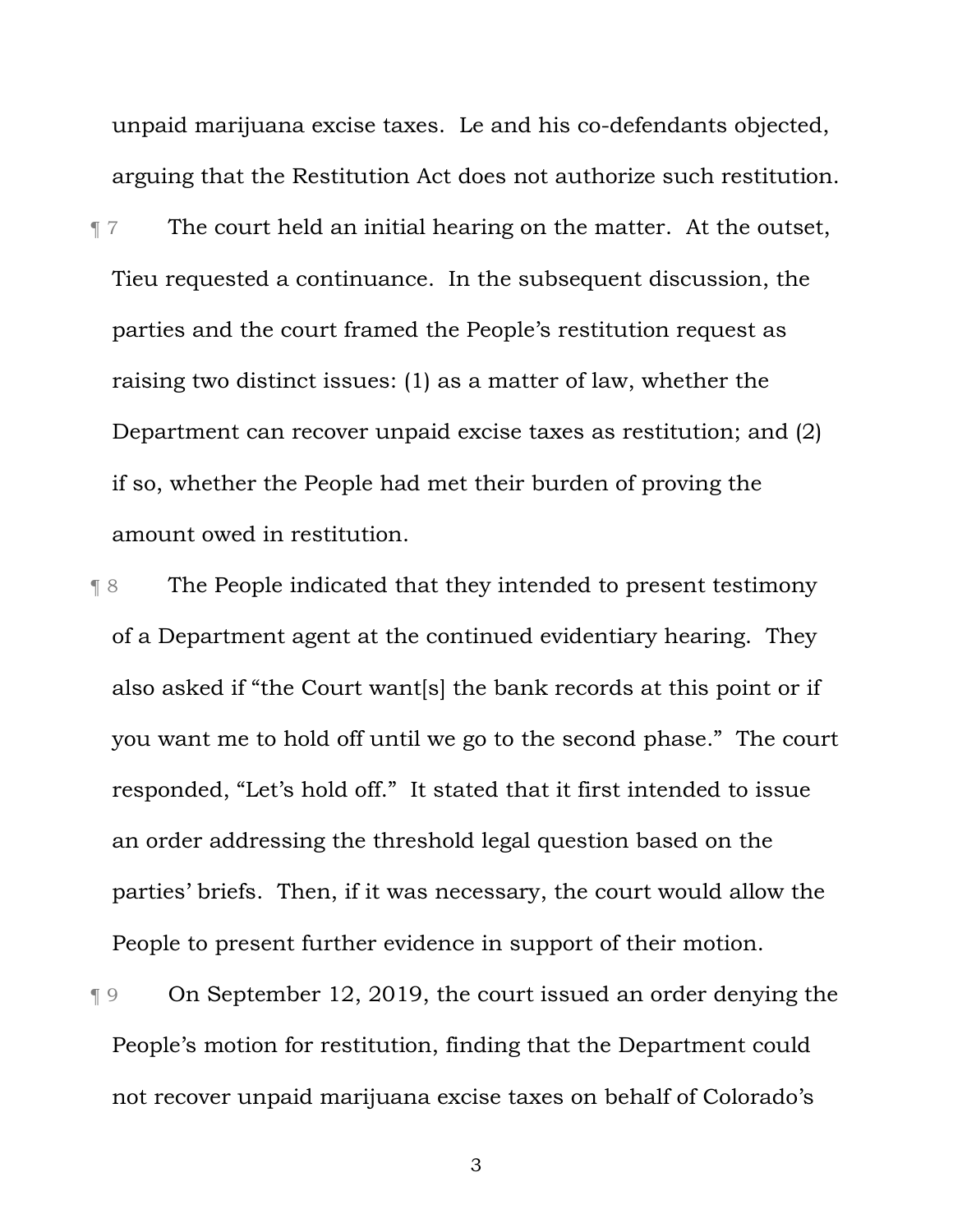unpaid marijuana excise taxes. Le and his co-defendants objected, arguing that the Restitution Act does not authorize such restitution.

- ¶ 7 The court held an initial hearing on the matter. At the outset, Tieu requested a continuance. In the subsequent discussion, the parties and the court framed the People's restitution request as raising two distinct issues: (1) as a matter of law, whether the Department can recover unpaid excise taxes as restitution; and (2) if so, whether the People had met their burden of proving the amount owed in restitution.
- ¶ 8 The People indicated that they intended to present testimony of a Department agent at the continued evidentiary hearing. They also asked if "the Court want[s] the bank records at this point or if you want me to hold off until we go to the second phase." The court responded, "Let's hold off." It stated that it first intended to issue an order addressing the threshold legal question based on the parties' briefs. Then, if it was necessary, the court would allow the People to present further evidence in support of their motion.

¶ 9 On September 12, 2019, the court issued an order denying the People's motion for restitution, finding that the Department could not recover unpaid marijuana excise taxes on behalf of Colorado's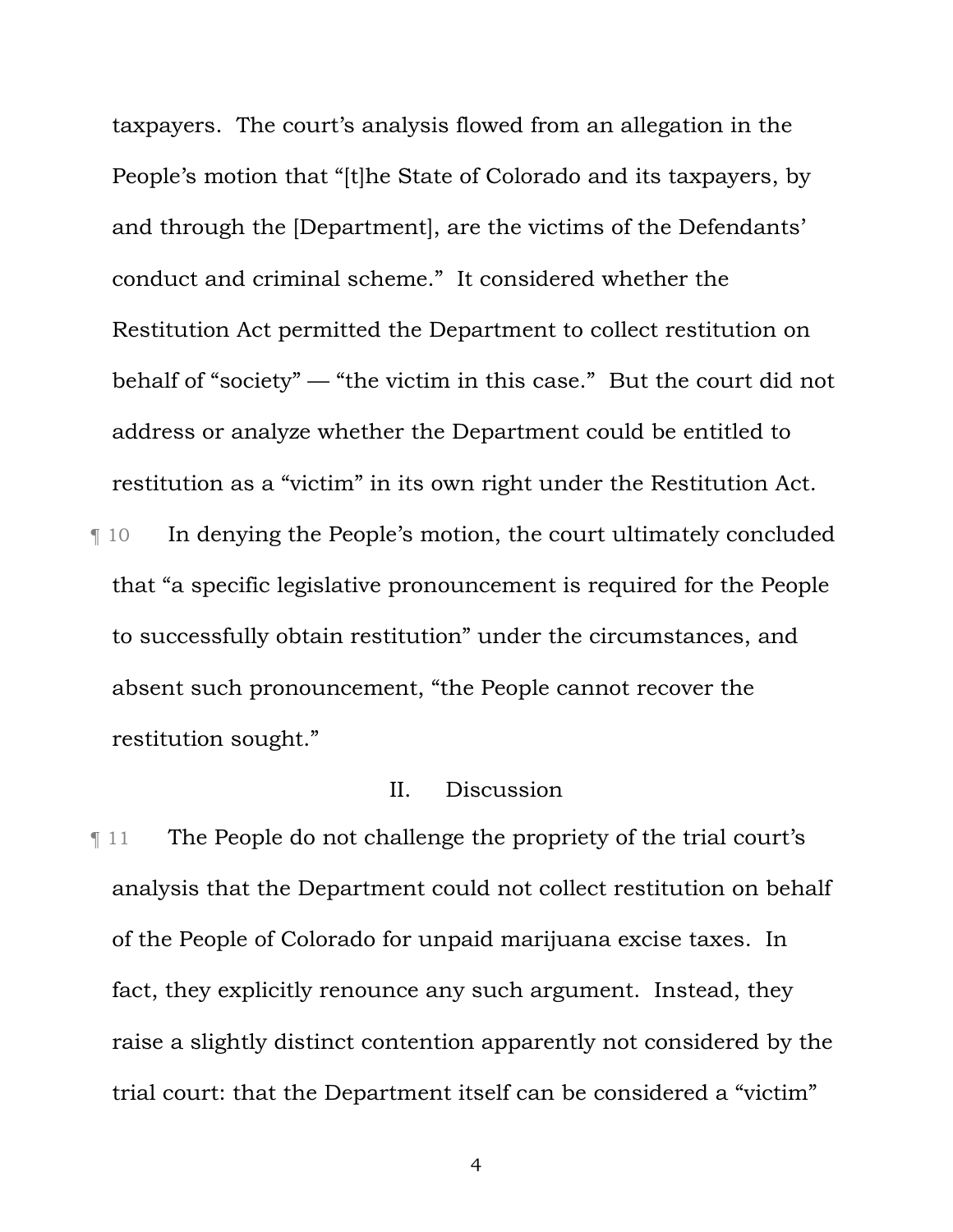taxpayers. The court's analysis flowed from an allegation in the People's motion that "[t]he State of Colorado and its taxpayers, by and through the [Department], are the victims of the Defendants' conduct and criminal scheme." It considered whether the Restitution Act permitted the Department to collect restitution on behalf of "society" — "the victim in this case." But the court did not address or analyze whether the Department could be entitled to restitution as a "victim" in its own right under the Restitution Act. ¶ 10 In denying the People's motion, the court ultimately concluded that "a specific legislative pronouncement is required for the People to successfully obtain restitution" under the circumstances, and absent such pronouncement, "the People cannot recover the restitution sought."

# II. Discussion

¶ 11 The People do not challenge the propriety of the trial court's analysis that the Department could not collect restitution on behalf of the People of Colorado for unpaid marijuana excise taxes. In fact, they explicitly renounce any such argument. Instead, they raise a slightly distinct contention apparently not considered by the trial court: that the Department itself can be considered a "victim"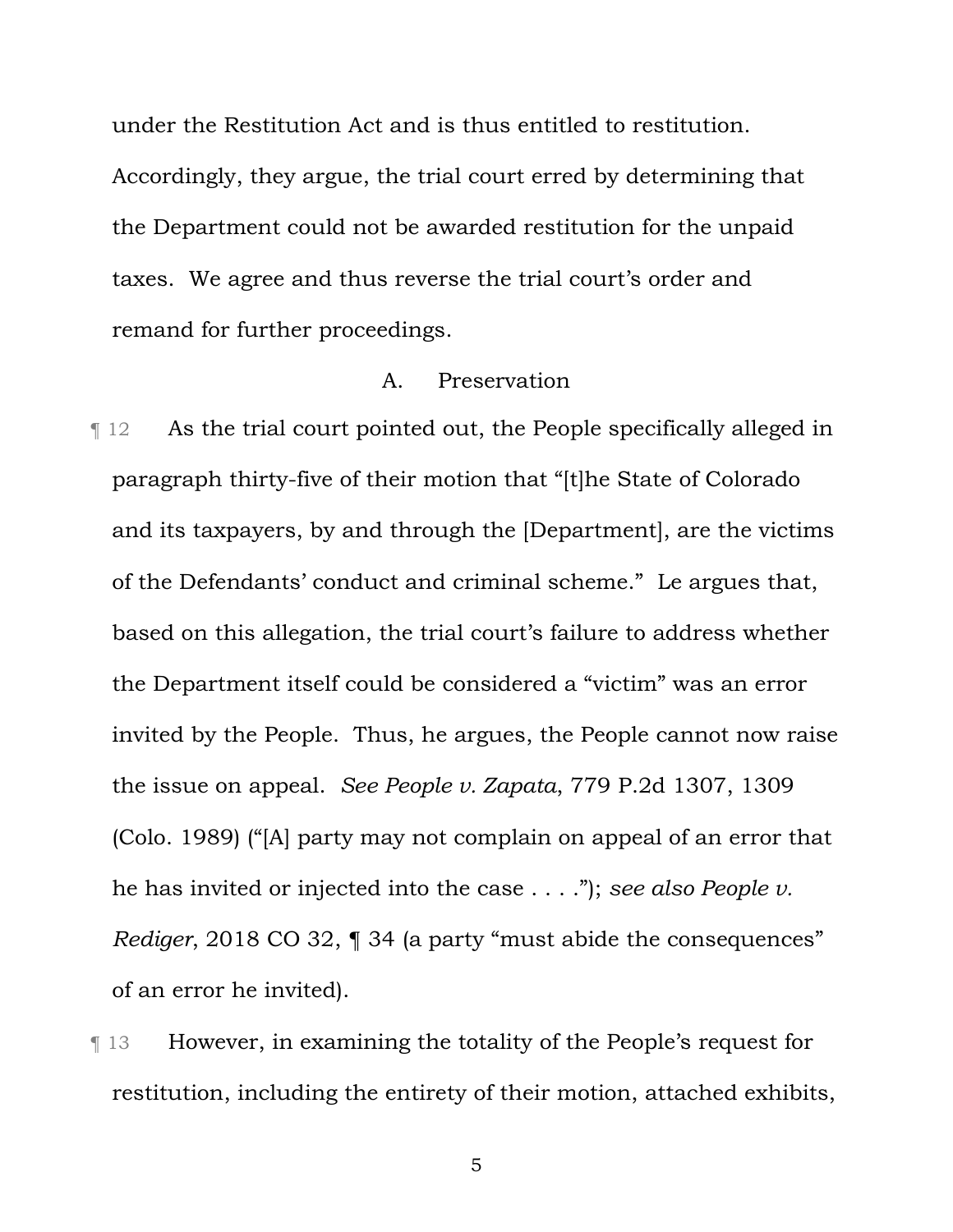under the Restitution Act and is thus entitled to restitution. Accordingly, they argue, the trial court erred by determining that the Department could not be awarded restitution for the unpaid taxes. We agree and thus reverse the trial court's order and remand for further proceedings.

### A. Preservation

¶ 12 As the trial court pointed out, the People specifically alleged in paragraph thirty-five of their motion that "[t]he State of Colorado and its taxpayers, by and through the [Department], are the victims of the Defendants' conduct and criminal scheme." Le argues that, based on this allegation, the trial court's failure to address whether the Department itself could be considered a "victim" was an error invited by the People. Thus, he argues, the People cannot now raise the issue on appeal. *See People v. Zapata*, 779 P.2d 1307, 1309 (Colo. 1989) ("[A] party may not complain on appeal of an error that he has invited or injected into the case . . . ."); *see also People v. Rediger*, 2018 CO 32, 1 34 (a party "must abide the consequences" of an error he invited).

¶ 13 However, in examining the totality of the People's request for restitution, including the entirety of their motion, attached exhibits,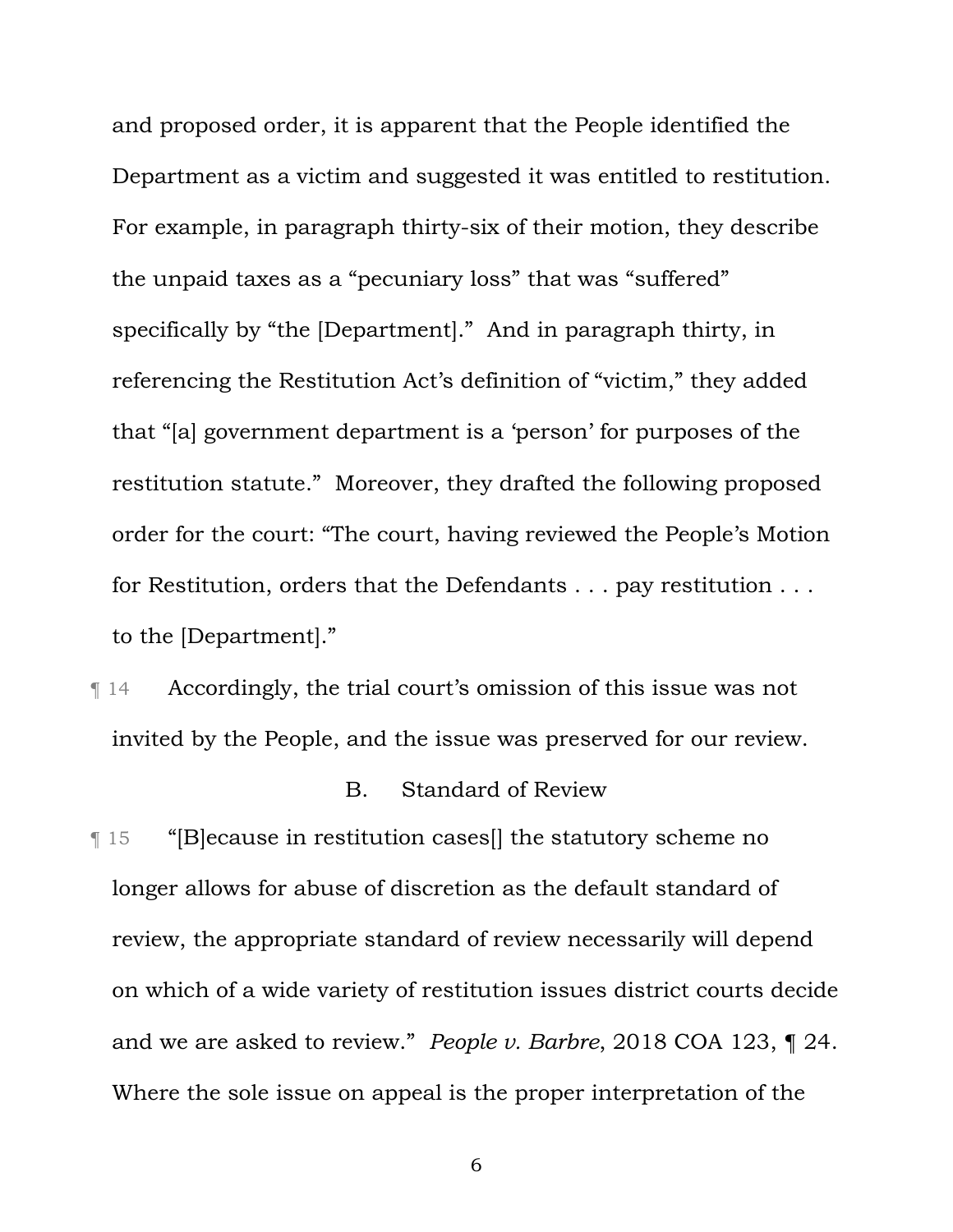and proposed order, it is apparent that the People identified the Department as a victim and suggested it was entitled to restitution. For example, in paragraph thirty-six of their motion, they describe the unpaid taxes as a "pecuniary loss" that was "suffered" specifically by "the [Department]." And in paragraph thirty, in referencing the Restitution Act's definition of "victim," they added that "[a] government department is a 'person' for purposes of the restitution statute." Moreover, they drafted the following proposed order for the court: "The court, having reviewed the People's Motion for Restitution, orders that the Defendants . . . pay restitution . . . to the [Department]."

¶ 14 Accordingly, the trial court's omission of this issue was not invited by the People, and the issue was preserved for our review.

### B. Standard of Review

¶ 15 "[B]ecause in restitution cases[] the statutory scheme no longer allows for abuse of discretion as the default standard of review, the appropriate standard of review necessarily will depend on which of a wide variety of restitution issues district courts decide and we are asked to review." *People v. Barbre*, 2018 COA 123, ¶ 24. Where the sole issue on appeal is the proper interpretation of the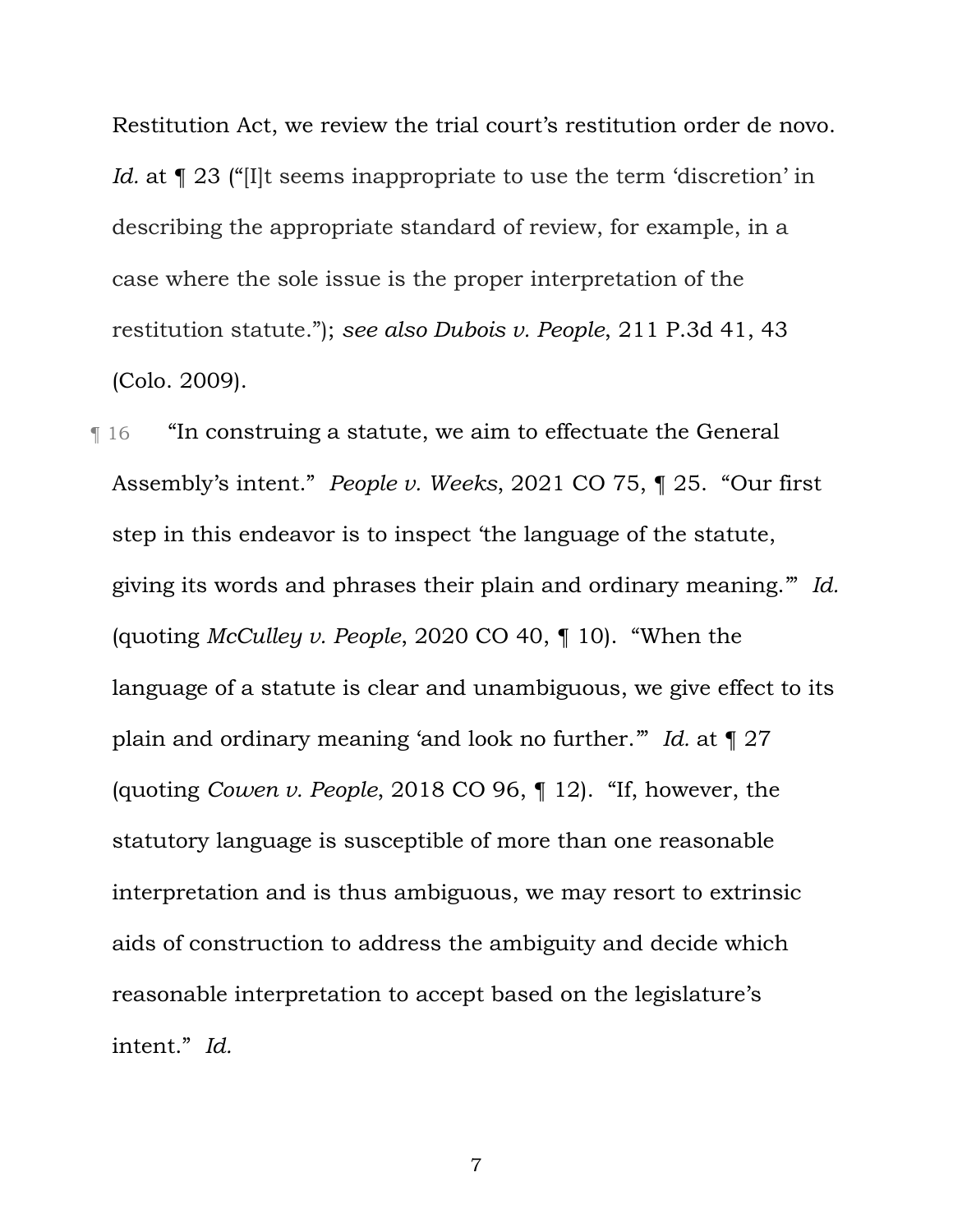Restitution Act, we review the trial court's restitution order de novo. *Id.* at  $\llbracket 23 \right]$  "[I]t seems inappropriate to use the term 'discretion' in describing the appropriate standard of review, for example, in a case where the sole issue is the proper interpretation of the restitution statute."); *see also Dubois v. People*, 211 P.3d 41, 43 (Colo. 2009).

¶ 16 "In construing a statute, we aim to effectuate the General Assembly's intent." *People v. Weeks*, 2021 CO 75, ¶ 25. "Our first step in this endeavor is to inspect 'the language of the statute, giving its words and phrases their plain and ordinary meaning.'" *Id.*  (quoting *McCulley v. People*, 2020 CO 40, ¶ 10). "When the language of a statute is clear and unambiguous, we give effect to its plain and ordinary meaning 'and look no further.'" *Id.* at ¶ 27 (quoting *Cowen v. People*, 2018 CO 96, ¶ 12). "If, however, the statutory language is susceptible of more than one reasonable interpretation and is thus ambiguous, we may resort to extrinsic aids of construction to address the ambiguity and decide which reasonable interpretation to accept based on the legislature's intent." *Id.*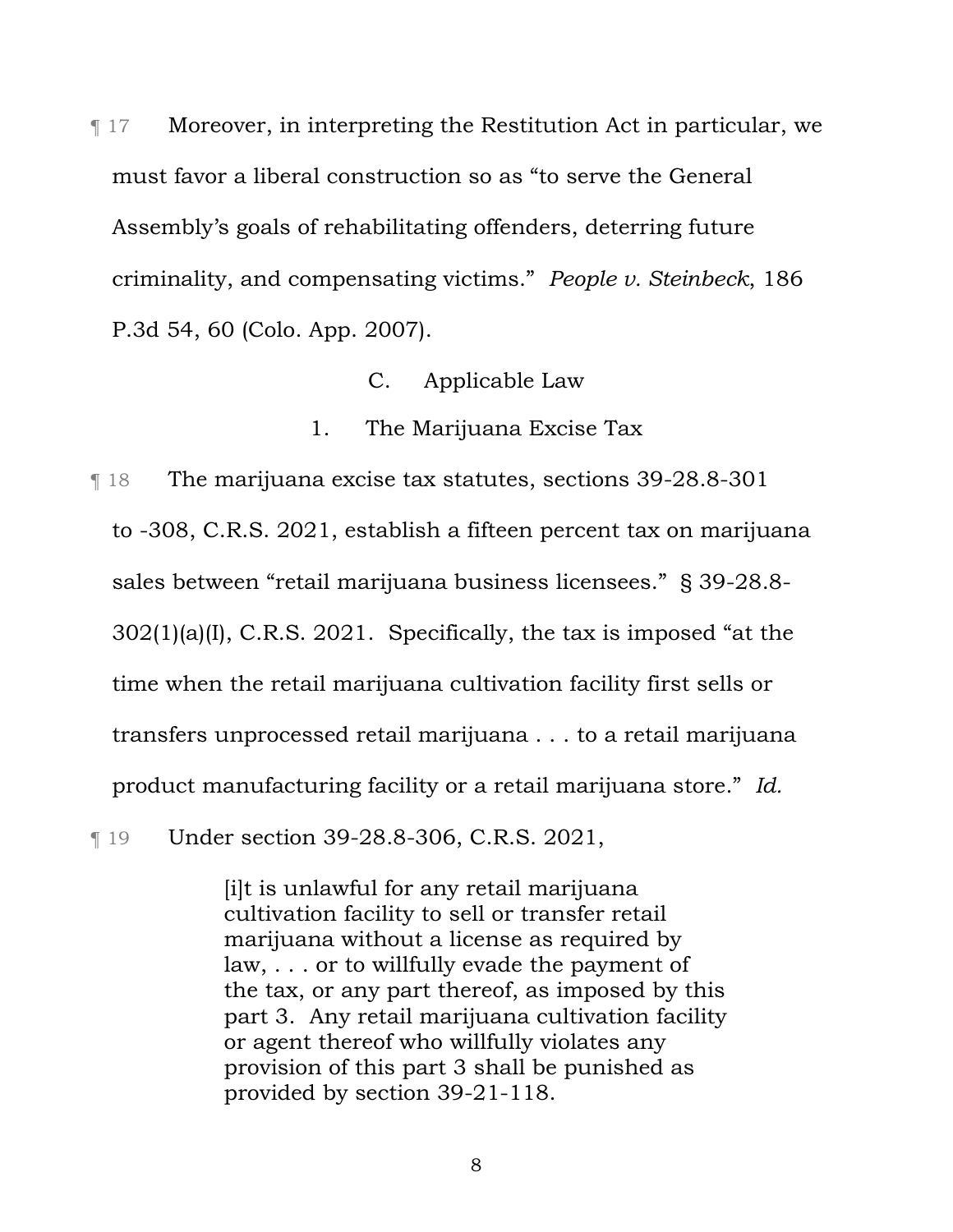¶ 17 Moreover, in interpreting the Restitution Act in particular, we must favor a liberal construction so as "to serve the General Assembly's goals of rehabilitating offenders, deterring future criminality, and compensating victims." *People v. Steinbeck*, 186 P.3d 54, 60 (Colo. App. 2007).

- C. Applicable Law
- 1. The Marijuana Excise Tax

¶ 18 The marijuana excise tax statutes, sections 39-28.8-301 to -308, C.R.S. 2021, establish a fifteen percent tax on marijuana sales between "retail marijuana business licensees." § 39-28.8- 302(1)(a)(I), C.R.S. 2021. Specifically, the tax is imposed "at the time when the retail marijuana cultivation facility first sells or transfers unprocessed retail marijuana . . . to a retail marijuana product manufacturing facility or a retail marijuana store." *Id.* 

¶ 19 Under section 39-28.8-306, C.R.S. 2021,

[i]t is unlawful for any retail marijuana cultivation facility to sell or transfer retail marijuana without a license as required by law, . . . or to willfully evade the payment of the tax, or any part thereof, as imposed by this part 3. Any retail marijuana cultivation facility or agent thereof who willfully violates any provision of this part 3 shall be punished as provided by section 39-21-118.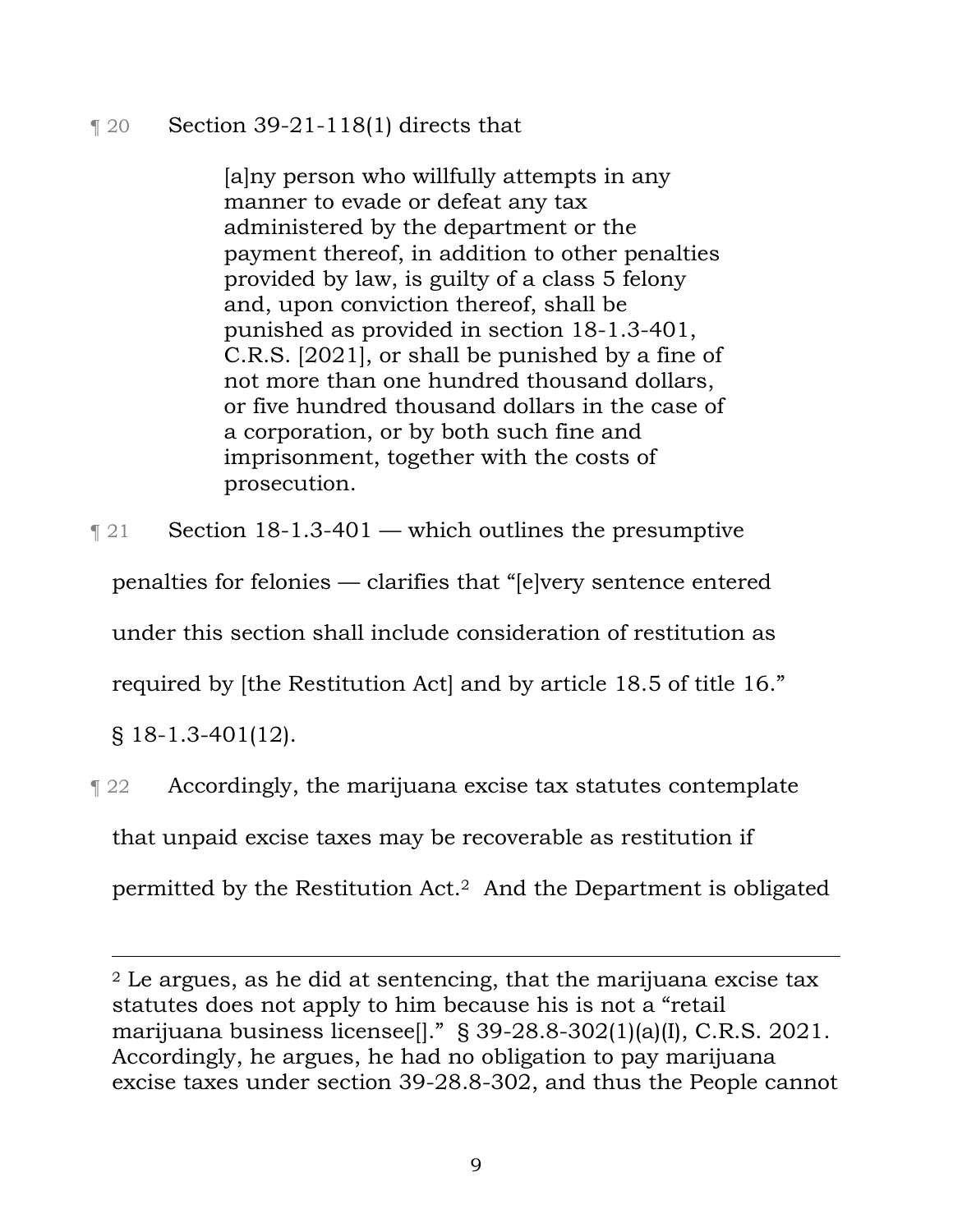# $\lceil 20 \rceil$  Section 39-21-118(1) directs that

[a]ny person who willfully attempts in any manner to evade or defeat any tax administered by the department or the payment thereof, in addition to other penalties provided by law, is guilty of a class 5 felony and, upon conviction thereof, shall be punished as provided in section 18-1.3-401, C.R.S. [2021], or shall be punished by a fine of not more than one hundred thousand dollars, or five hundred thousand dollars in the case of a corporation, or by both such fine and imprisonment, together with the costs of prosecution.

 $\lceil 21 \rceil$  Section 18-1.3-401 — which outlines the presumptive penalties for felonies — clarifies that "[e]very sentence entered under this section shall include consideration of restitution as required by [the Restitution Act] and by article 18.5 of title 16." § 18-1.3-401(12).

¶ 22 Accordingly, the marijuana excise tax statutes contemplate that unpaid excise taxes may be recoverable as restitution if permitted by the Restitution Act.2 And the Department is obligated

<sup>2</sup> Le argues, as he did at sentencing, that the marijuana excise tax statutes does not apply to him because his is not a "retail marijuana business licensee[]." § 39-28.8-302(1)(a)(I), C.R.S. 2021. Accordingly, he argues, he had no obligation to pay marijuana excise taxes under section 39-28.8-302, and thus the People cannot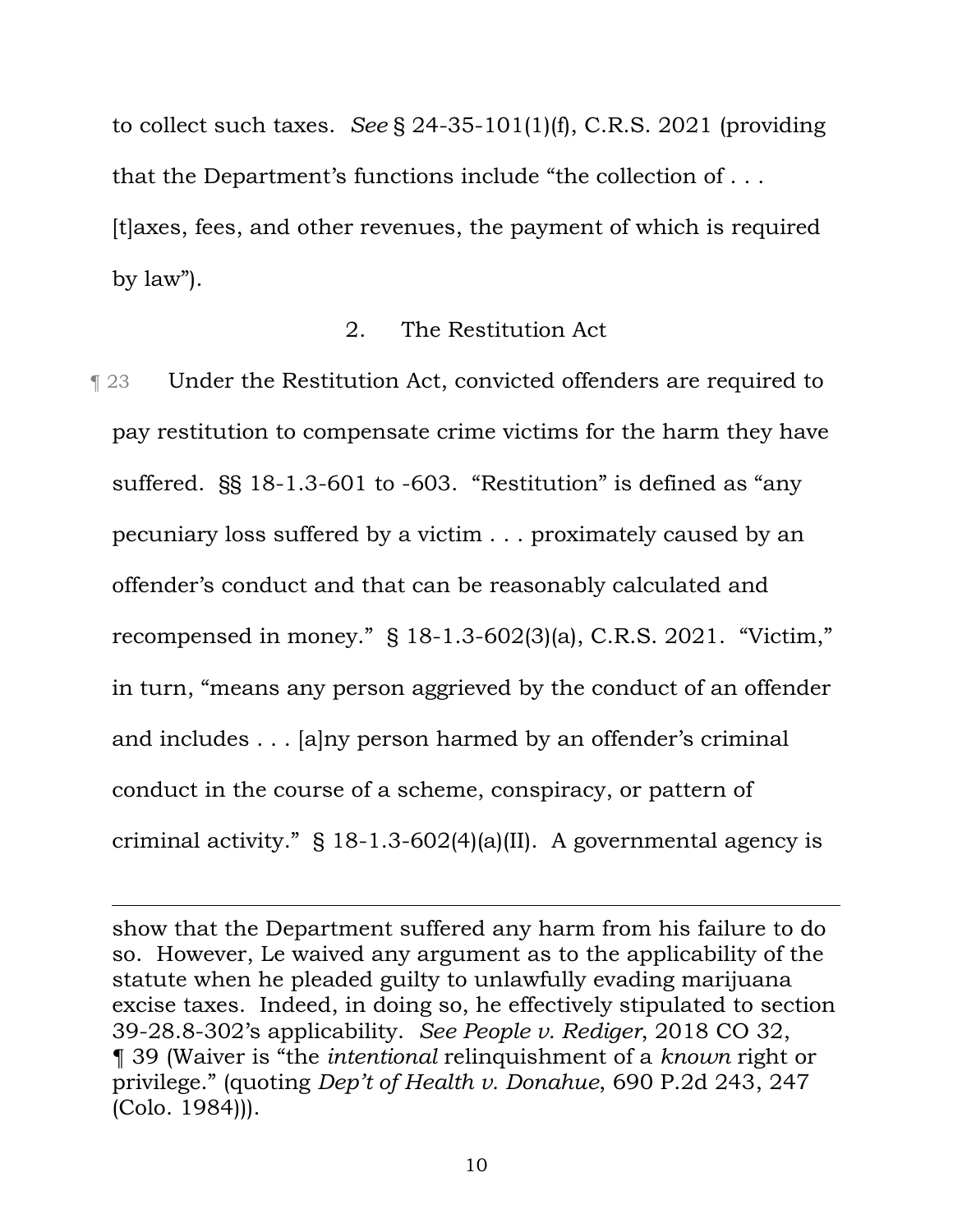to collect such taxes. *See* § 24-35-101(1)(f), C.R.S. 2021 (providing that the Department's functions include "the collection of . . . [t]axes, fees, and other revenues, the payment of which is required by law").

#### 2. The Restitution Act

¶ 23 Under the Restitution Act, convicted offenders are required to pay restitution to compensate crime victims for the harm they have suffered. §§ 18-1.3-601 to -603. "Restitution" is defined as "any pecuniary loss suffered by a victim . . . proximately caused by an offender's conduct and that can be reasonably calculated and recompensed in money." § 18-1.3-602(3)(a), C.R.S. 2021. "Victim," in turn, "means any person aggrieved by the conduct of an offender and includes . . . [a]ny person harmed by an offender's criminal conduct in the course of a scheme, conspiracy, or pattern of criminal activity." § 18-1.3-602(4)(a)(II). A governmental agency is

show that the Department suffered any harm from his failure to do so. However, Le waived any argument as to the applicability of the statute when he pleaded guilty to unlawfully evading marijuana excise taxes. Indeed, in doing so, he effectively stipulated to section 39-28.8-302's applicability. *See People v. Rediger*, 2018 CO 32, ¶ 39 (Waiver is "the *intentional* relinquishment of a *known* right or privilege." (quoting *Dep't of Health v. Donahue*, 690 P.2d 243, 247 (Colo. 1984))).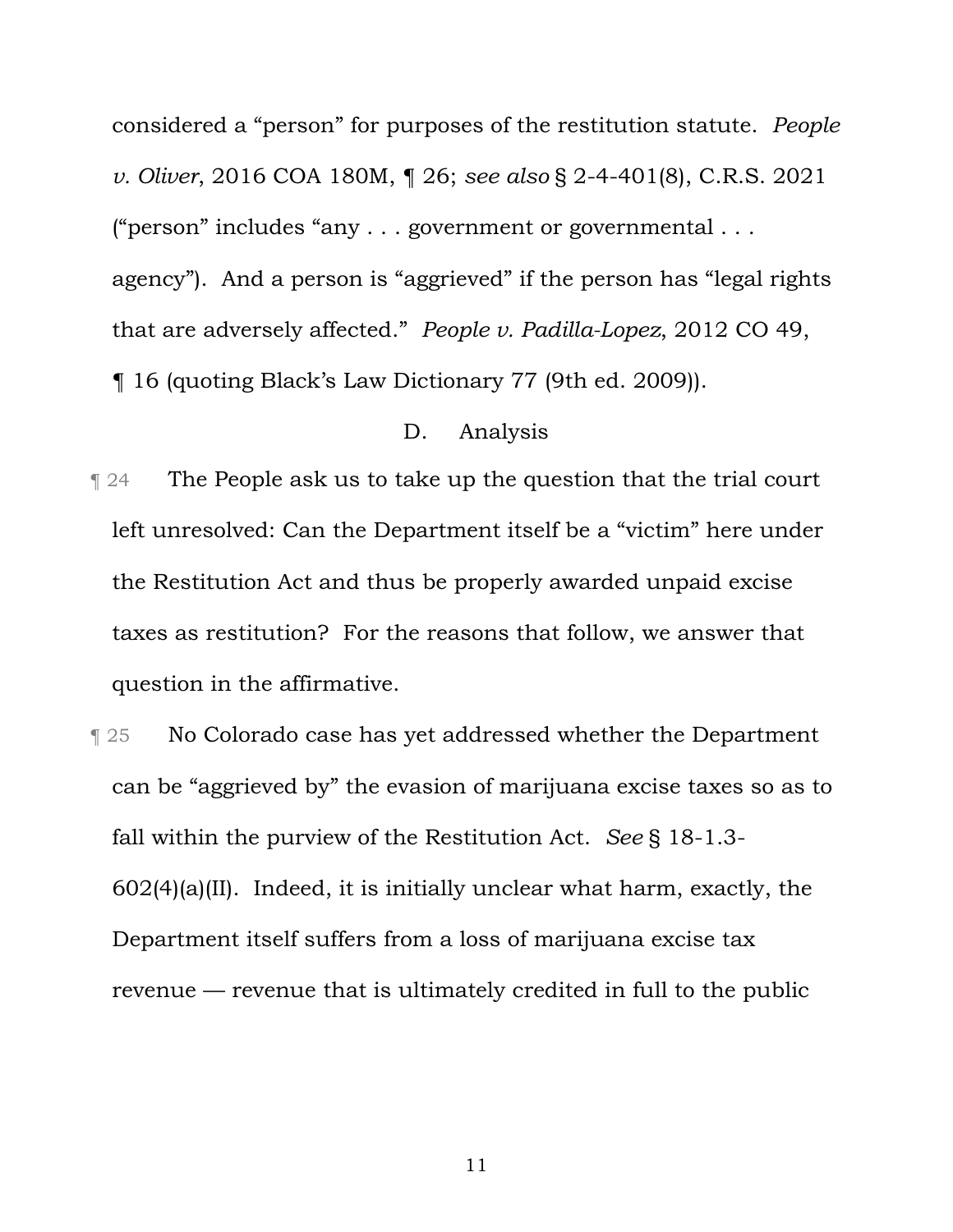considered a "person" for purposes of the restitution statute. *People v. Oliver*, 2016 COA 180M, ¶ 26; *see also* § 2-4-401(8), C.R.S. 2021 ("person" includes "any . . . government or governmental . . . agency"). And a person is "aggrieved" if the person has "legal rights that are adversely affected." *People v. Padilla-Lopez*, 2012 CO 49,

¶ 16 (quoting Black's Law Dictionary 77 (9th ed. 2009)).

### D. Analysis

- ¶ 24 The People ask us to take up the question that the trial court left unresolved: Can the Department itself be a "victim" here under the Restitution Act and thus be properly awarded unpaid excise taxes as restitution? For the reasons that follow, we answer that question in the affirmative.
- **Texture 3.1 No Colorado case has yet addressed whether the Department** can be "aggrieved by" the evasion of marijuana excise taxes so as to fall within the purview of the Restitution Act. *See* § 18-1.3-  $602(4)$ (a)(II). Indeed, it is initially unclear what harm, exactly, the Department itself suffers from a loss of marijuana excise tax revenue — revenue that is ultimately credited in full to the public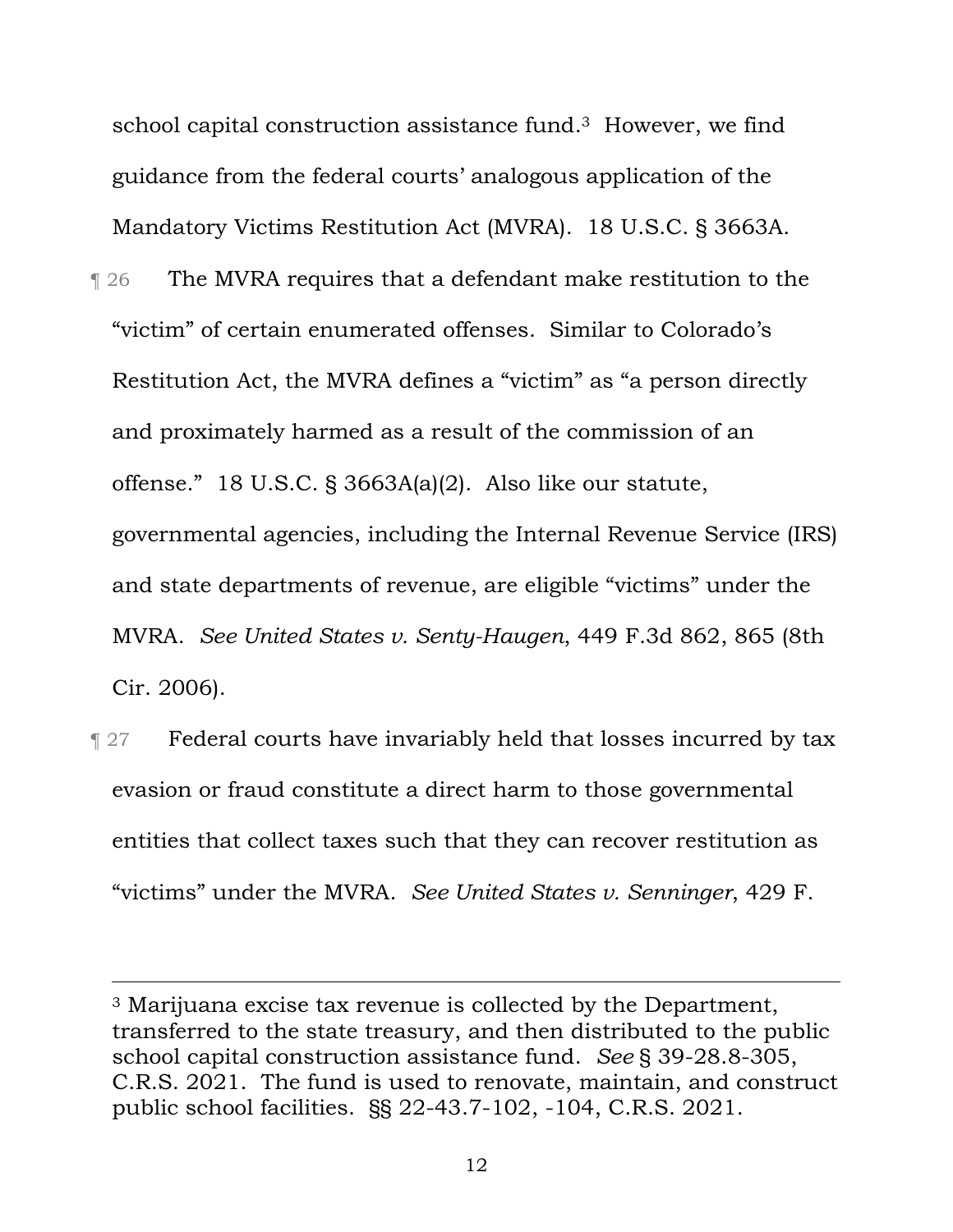school capital construction assistance fund.3 However, we find guidance from the federal courts' analogous application of the Mandatory Victims Restitution Act (MVRA). 18 U.S.C. § 3663A.

- **The MVRA requires that a defendant make restitution to the** "victim" of certain enumerated offenses. Similar to Colorado's Restitution Act, the MVRA defines a "victim" as "a person directly and proximately harmed as a result of the commission of an offense." 18 U.S.C. § 3663A(a)(2). Also like our statute, governmental agencies, including the Internal Revenue Service (IRS) and state departments of revenue, are eligible "victims" under the MVRA. *See United States v. Senty-Haugen*, 449 F.3d 862, 865 (8th Cir. 2006).
- **Tederal courts have invariably held that losses incurred by tax** evasion or fraud constitute a direct harm to those governmental entities that collect taxes such that they can recover restitution as "victims" under the MVRA. *See United States v. Senninger*, 429 F.

<sup>3</sup> Marijuana excise tax revenue is collected by the Department, transferred to the state treasury, and then distributed to the public school capital construction assistance fund. *See* § 39-28.8-305, C.R.S. 2021. The fund is used to renovate, maintain, and construct public school facilities. §§ 22-43.7-102, -104, C.R.S. 2021.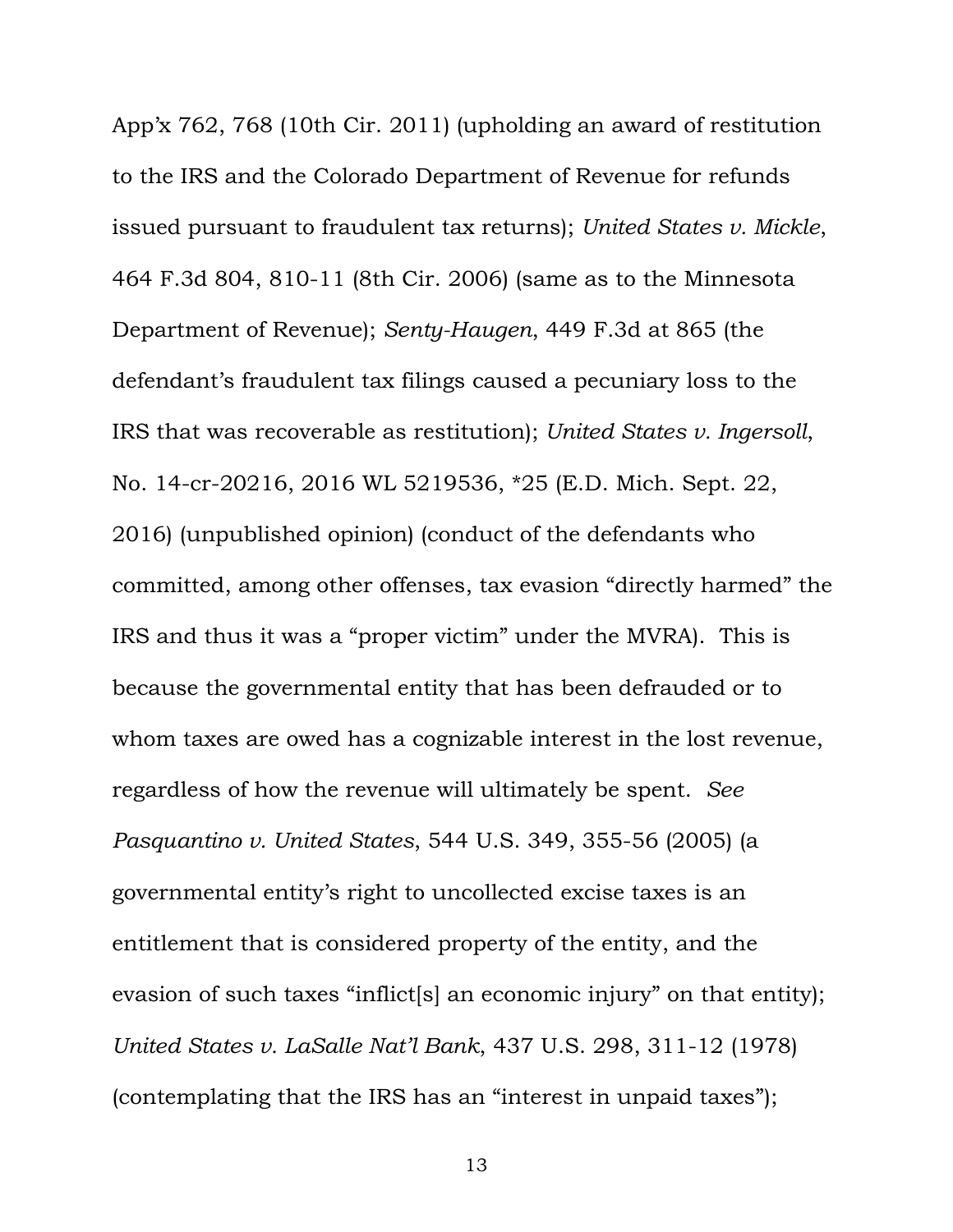App'x 762, 768 (10th Cir. 2011) (upholding an award of restitution to the IRS and the Colorado Department of Revenue for refunds issued pursuant to fraudulent tax returns); *United States v. Mickle*, 464 F.3d 804, 810-11 (8th Cir. 2006) (same as to the Minnesota Department of Revenue); *Senty-Haugen*, 449 F.3d at 865 (the defendant's fraudulent tax filings caused a pecuniary loss to the IRS that was recoverable as restitution); *United States v. Ingersoll*, No. 14-cr-20216, 2016 WL 5219536, \*25 (E.D. Mich. Sept. 22, 2016) (unpublished opinion) (conduct of the defendants who committed, among other offenses, tax evasion "directly harmed" the IRS and thus it was a "proper victim" under the MVRA). This is because the governmental entity that has been defrauded or to whom taxes are owed has a cognizable interest in the lost revenue, regardless of how the revenue will ultimately be spent. *See Pasquantino v. United States*, 544 U.S. 349, 355-56 (2005) (a governmental entity's right to uncollected excise taxes is an entitlement that is considered property of the entity, and the evasion of such taxes "inflict[s] an economic injury" on that entity); *United States v. LaSalle Nat'l Bank*, 437 U.S. 298, 311-12 (1978) (contemplating that the IRS has an "interest in unpaid taxes");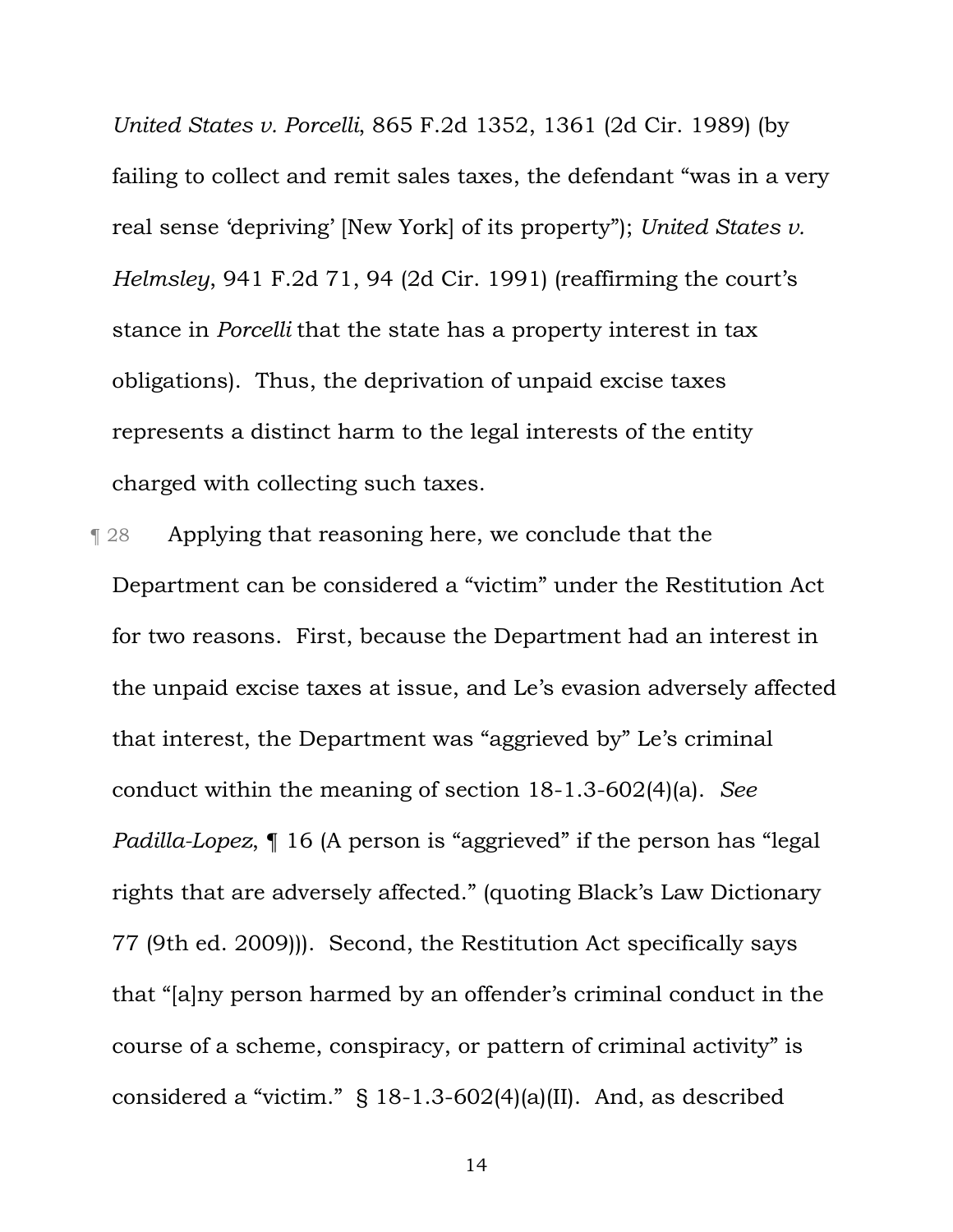*United States v. Porcelli*, 865 F.2d 1352, 1361 (2d Cir. 1989) (by failing to collect and remit sales taxes, the defendant "was in a very real sense 'depriving' [New York] of its property"); *United States v. Helmsley*, 941 F.2d 71, 94 (2d Cir. 1991) (reaffirming the court's stance in *Porcelli* that the state has a property interest in tax obligations). Thus, the deprivation of unpaid excise taxes represents a distinct harm to the legal interests of the entity charged with collecting such taxes.

¶ 28 Applying that reasoning here, we conclude that the Department can be considered a "victim" under the Restitution Act for two reasons. First, because the Department had an interest in the unpaid excise taxes at issue, and Le's evasion adversely affected that interest, the Department was "aggrieved by" Le's criminal conduct within the meaning of section 18-1.3-602(4)(a). *See Padilla-Lopez*,  $\P$  16 (A person is "aggrieved" if the person has "legal rights that are adversely affected." (quoting Black's Law Dictionary 77 (9th ed. 2009))). Second, the Restitution Act specifically says that "[a]ny person harmed by an offender's criminal conduct in the course of a scheme, conspiracy, or pattern of criminal activity" is considered a "victim." § 18-1.3-602(4)(a)(II). And, as described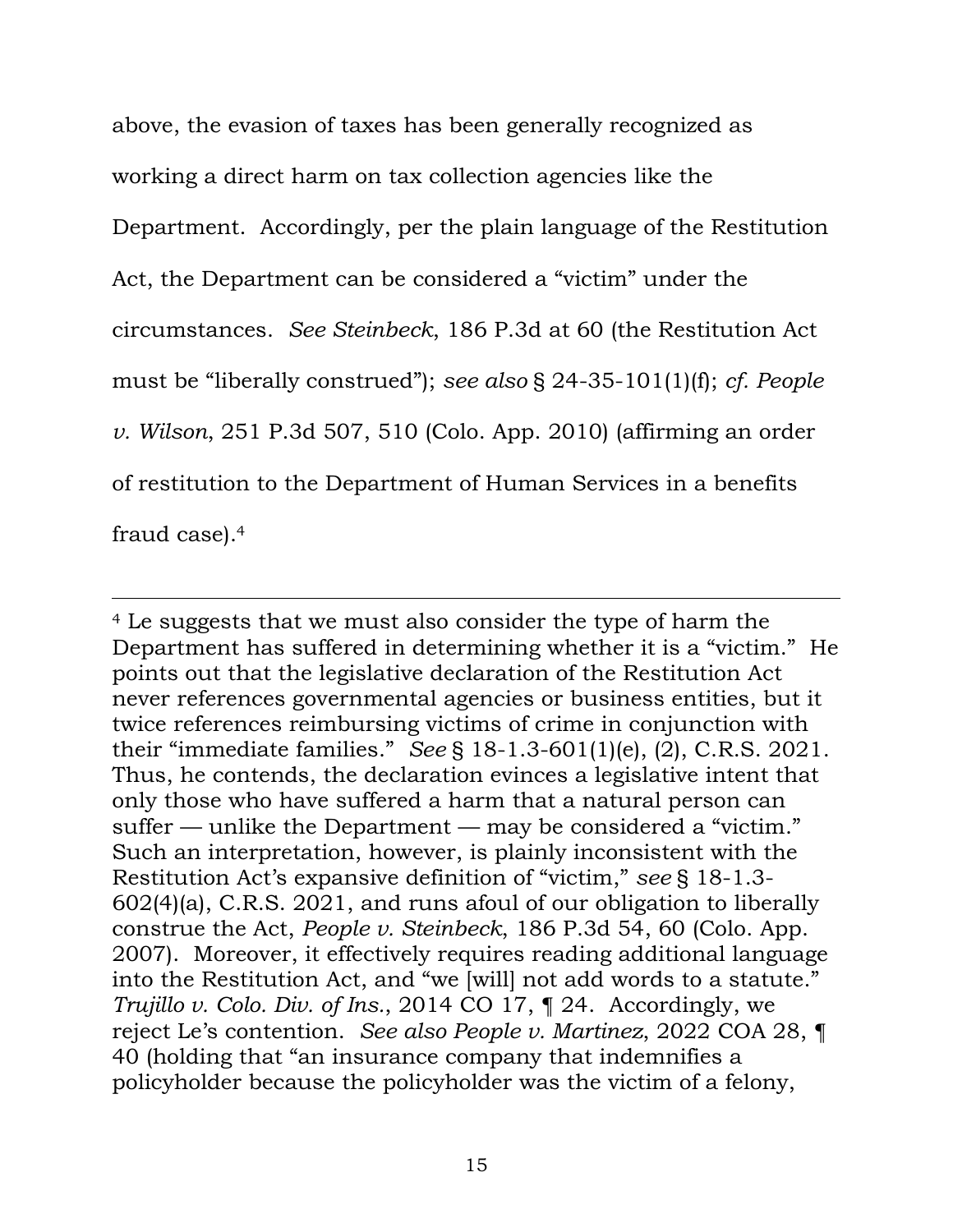above, the evasion of taxes has been generally recognized as working a direct harm on tax collection agencies like the Department. Accordingly, per the plain language of the Restitution Act, the Department can be considered a "victim" under the circumstances. *See Steinbeck*, 186 P.3d at 60 (the Restitution Act must be "liberally construed"); *see also* § 24-35-101(1)(f); *cf. People v. Wilson*, 251 P.3d 507, 510 (Colo. App. 2010) (affirming an order of restitution to the Department of Human Services in a benefits fraud case).4

<sup>4</sup> Le suggests that we must also consider the type of harm the Department has suffered in determining whether it is a "victim." He points out that the legislative declaration of the Restitution Act never references governmental agencies or business entities, but it twice references reimbursing victims of crime in conjunction with their "immediate families." *See* § 18-1.3-601(1)(e), (2), C.R.S. 2021. Thus, he contends, the declaration evinces a legislative intent that only those who have suffered a harm that a natural person can suffer — unlike the Department — may be considered a "victim." Such an interpretation, however, is plainly inconsistent with the Restitution Act's expansive definition of "victim," *see* § 18-1.3- 602(4)(a), C.R.S. 2021, and runs afoul of our obligation to liberally construe the Act, *People v. Steinbeck*, 186 P.3d 54, 60 (Colo. App. 2007). Moreover, it effectively requires reading additional language into the Restitution Act, and "we [will] not add words to a statute." *Trujillo v. Colo. Div. of Ins.*, 2014 CO 17, ¶ 24. Accordingly, we reject Le's contention. *See also People v. Martinez*, 2022 COA 28, ¶ 40 (holding that "an insurance company that indemnifies a policyholder because the policyholder was the victim of a felony,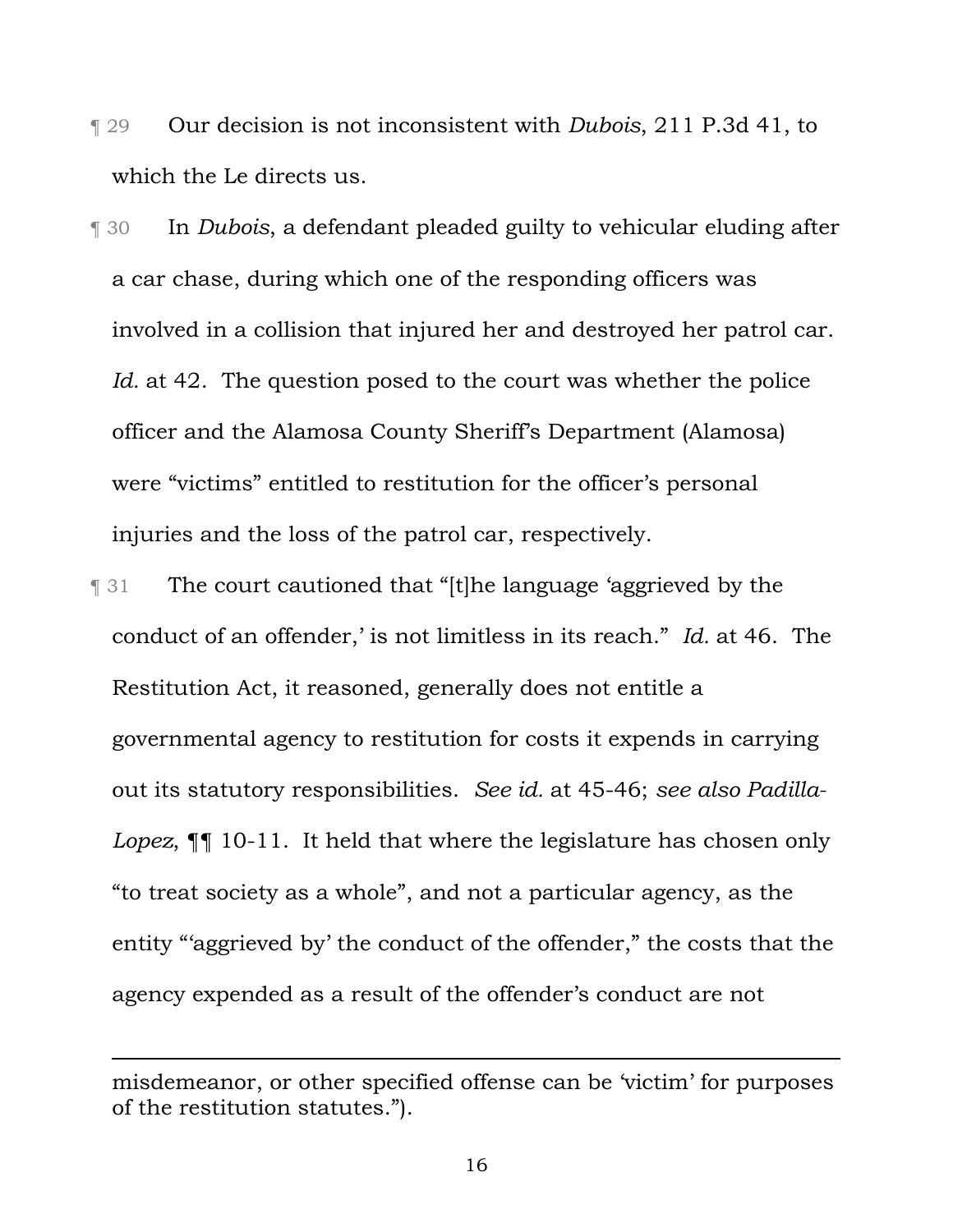- ¶ 29 Our decision is not inconsistent with *Dubois*, 211 P.3d 41, to which the Le directs us.
- ¶ 30 In *Dubois*, a defendant pleaded guilty to vehicular eluding after a car chase, during which one of the responding officers was involved in a collision that injured her and destroyed her patrol car. *Id.* at 42. The question posed to the court was whether the police officer and the Alamosa County Sheriff's Department (Alamosa) were "victims" entitled to restitution for the officer's personal injuries and the loss of the patrol car, respectively.
- ¶ 31 The court cautioned that "[t]he language 'aggrieved by the conduct of an offender,' is not limitless in its reach." *Id.* at 46. The Restitution Act, it reasoned, generally does not entitle a governmental agency to restitution for costs it expends in carrying out its statutory responsibilities. *See id.* at 45-46; *see also Padilla-Lopez*, ¶¶ 10-11. It held that where the legislature has chosen only "to treat society as a whole", and not a particular agency, as the entity "'aggrieved by' the conduct of the offender," the costs that the agency expended as a result of the offender's conduct are not

misdemeanor, or other specified offense can be 'victim' for purposes of the restitution statutes.").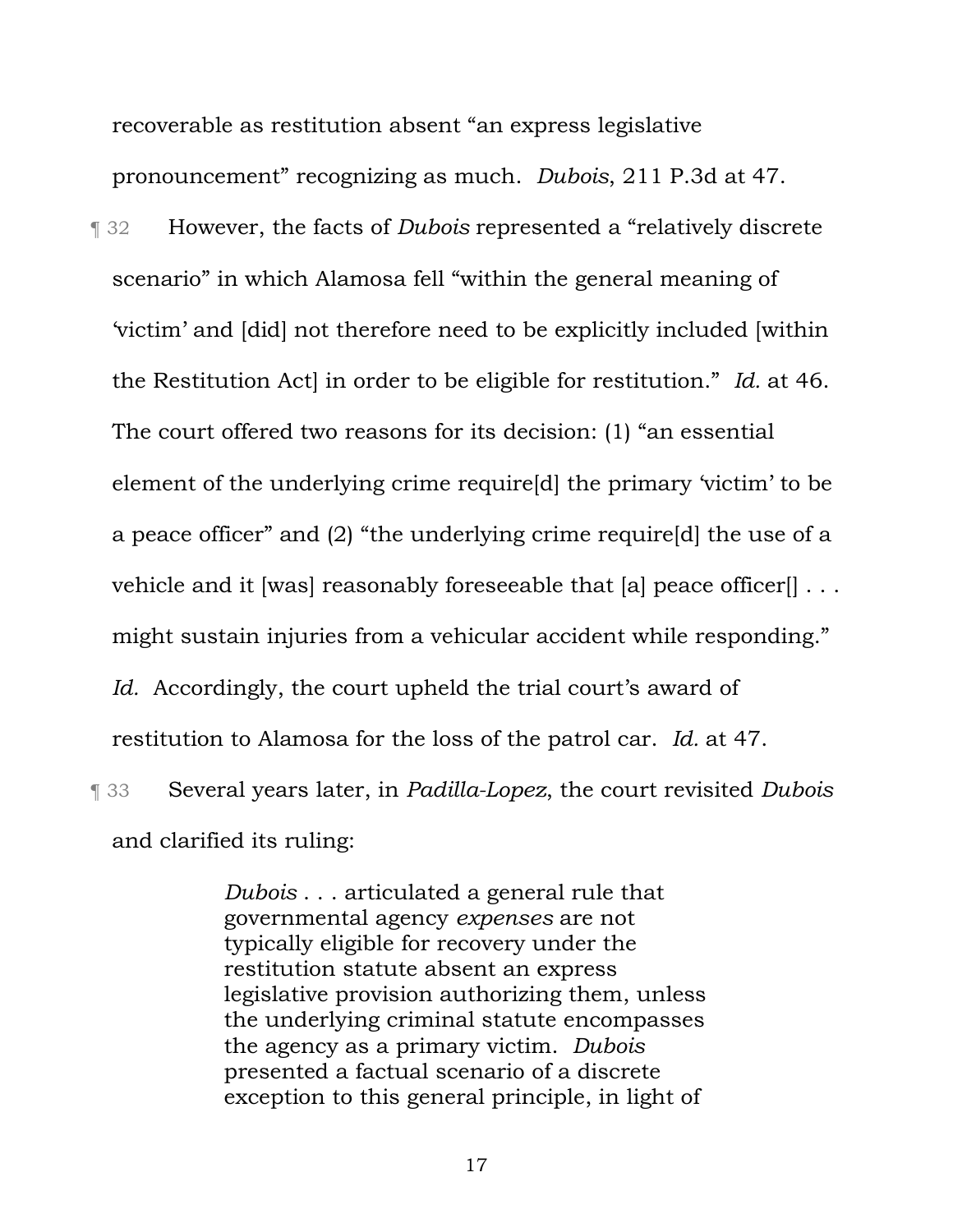recoverable as restitution absent "an express legislative pronouncement" recognizing as much. *Dubois*, 211 P.3d at 47.

¶ 32 However, the facts of *Dubois* represented a "relatively discrete scenario" in which Alamosa fell "within the general meaning of 'victim' and [did] not therefore need to be explicitly included [within the Restitution Act] in order to be eligible for restitution." *Id.* at 46. The court offered two reasons for its decision: (1) "an essential element of the underlying crime require[d] the primary 'victim' to be a peace officer" and (2) "the underlying crime require[d] the use of a vehicle and it [was] reasonably foreseeable that [a] peace officer[] . . . might sustain injuries from a vehicular accident while responding." *Id.* Accordingly, the court upheld the trial court's award of restitution to Alamosa for the loss of the patrol car. *Id.* at 47. ¶ 33 Several years later, in *Padilla-Lopez*, the court revisited *Dubois* 

and clarified its ruling:

*Dubois* . . . articulated a general rule that governmental agency *expenses* are not typically eligible for recovery under the restitution statute absent an express legislative provision authorizing them, unless the underlying criminal statute encompasses the agency as a primary victim. *Dubois* presented a factual scenario of a discrete exception to this general principle, in light of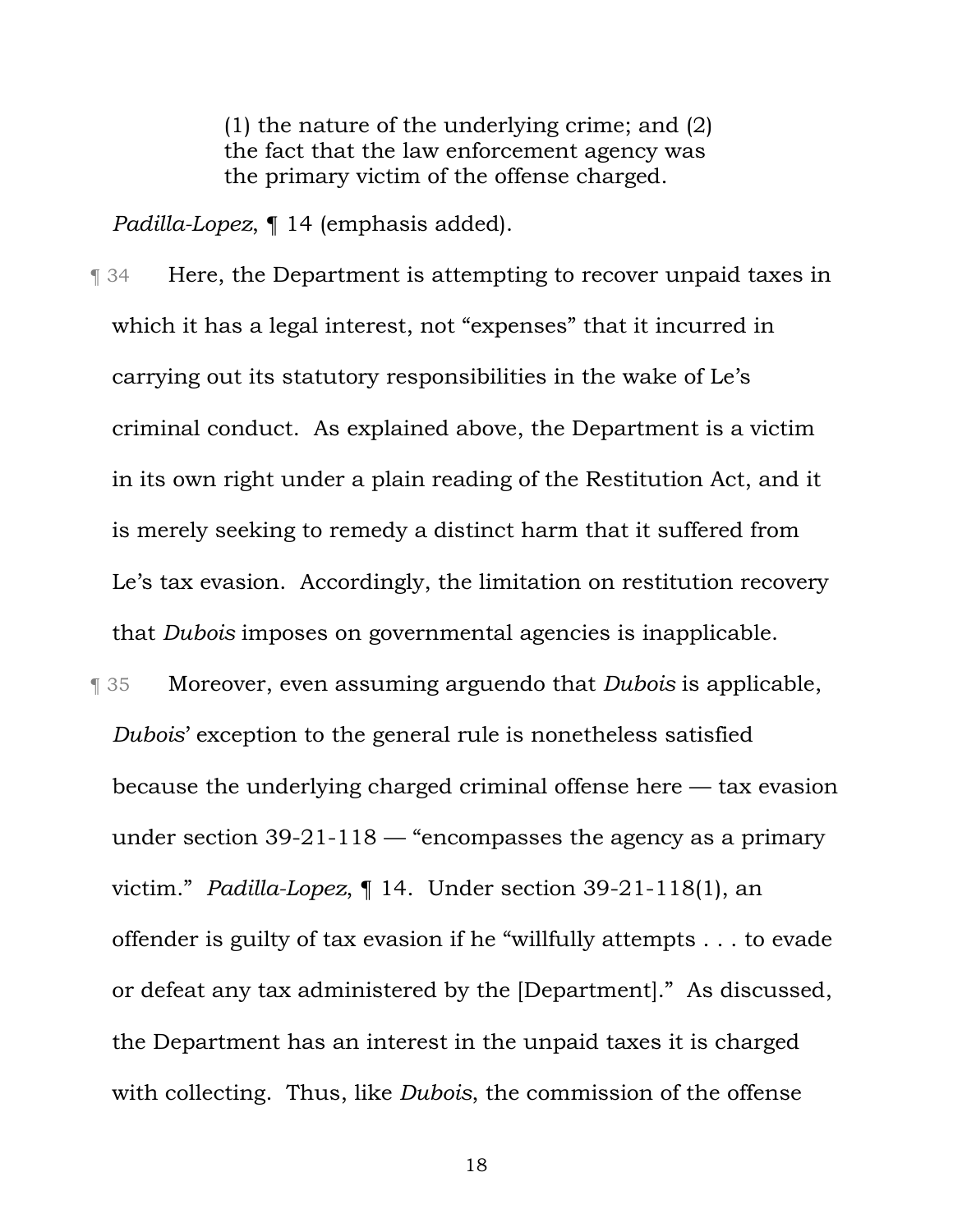(1) the nature of the underlying crime; and (2) the fact that the law enforcement agency was the primary victim of the offense charged.

*Padilla-Lopez*, ¶ 14 (emphasis added).

- ¶ 34 Here, the Department is attempting to recover unpaid taxes in which it has a legal interest, not "expenses" that it incurred in carrying out its statutory responsibilities in the wake of Le's criminal conduct. As explained above, the Department is a victim in its own right under a plain reading of the Restitution Act, and it is merely seeking to remedy a distinct harm that it suffered from Le's tax evasion. Accordingly, the limitation on restitution recovery that *Dubois* imposes on governmental agencies is inapplicable.
- ¶ 35 Moreover, even assuming arguendo that *Dubois* is applicable, *Dubois*' exception to the general rule is nonetheless satisfied because the underlying charged criminal offense here — tax evasion under section 39-21-118 — "encompasses the agency as a primary victim." *Padilla-Lopez*, ¶ 14. Under section 39-21-118(1), an offender is guilty of tax evasion if he "willfully attempts . . . to evade or defeat any tax administered by the [Department]." As discussed, the Department has an interest in the unpaid taxes it is charged with collecting. Thus, like *Dubois*, the commission of the offense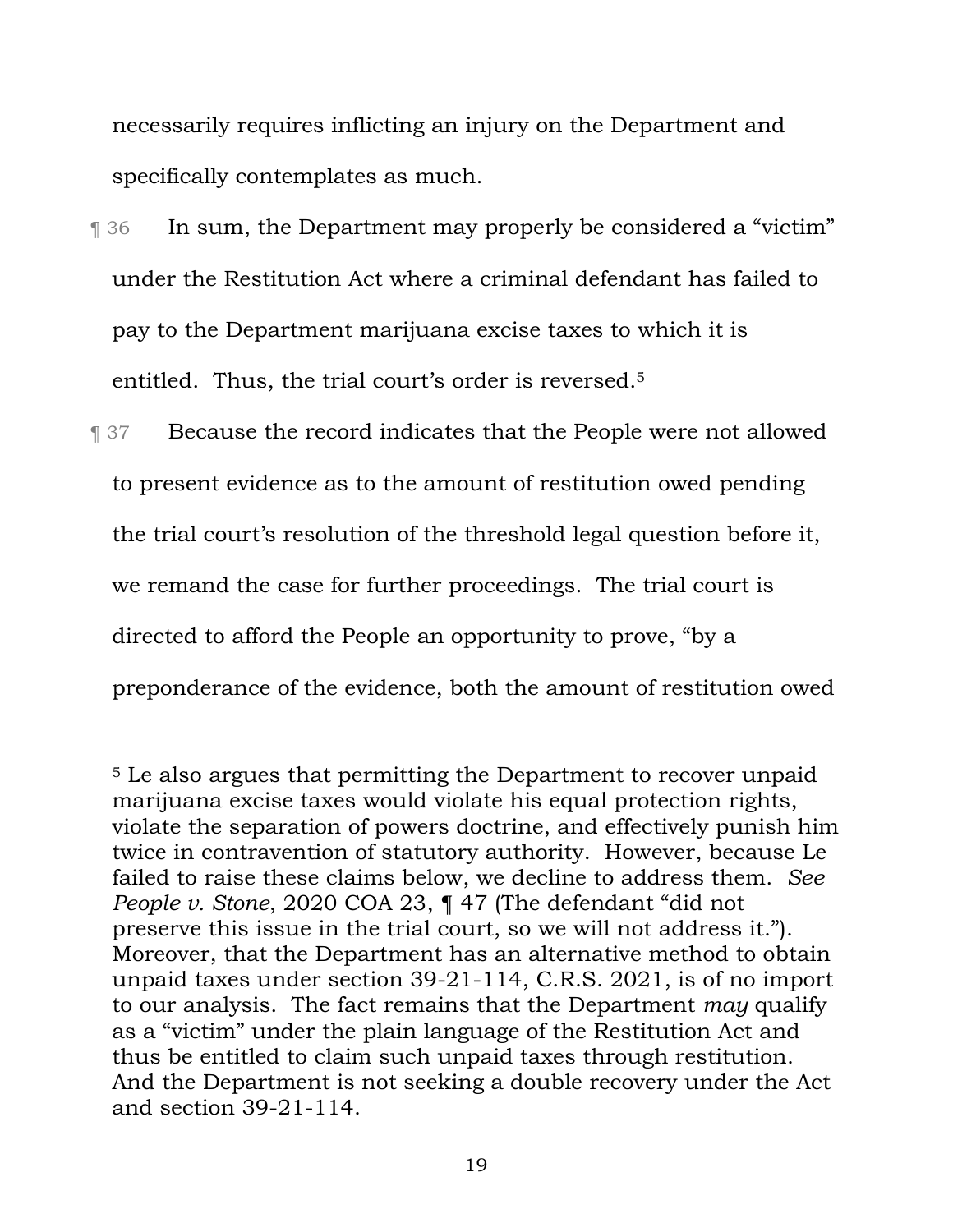necessarily requires inflicting an injury on the Department and specifically contemplates as much.

- ¶ 36 In sum, the Department may properly be considered a "victim" under the Restitution Act where a criminal defendant has failed to pay to the Department marijuana excise taxes to which it is entitled. Thus, the trial court's order is reversed.5
- **Texause the record indicates that the People were not allowed** to present evidence as to the amount of restitution owed pending the trial court's resolution of the threshold legal question before it, we remand the case for further proceedings. The trial court is directed to afford the People an opportunity to prove, "by a preponderance of the evidence, both the amount of restitution owed

<sup>5</sup> Le also argues that permitting the Department to recover unpaid marijuana excise taxes would violate his equal protection rights, violate the separation of powers doctrine, and effectively punish him twice in contravention of statutory authority. However, because Le failed to raise these claims below, we decline to address them. *See People v. Stone*, 2020 COA 23, ¶ 47 (The defendant "did not preserve this issue in the trial court, so we will not address it."). Moreover, that the Department has an alternative method to obtain unpaid taxes under section 39-21-114, C.R.S. 2021, is of no import to our analysis. The fact remains that the Department *may* qualify as a "victim" under the plain language of the Restitution Act and thus be entitled to claim such unpaid taxes through restitution. And the Department is not seeking a double recovery under the Act and section 39-21-114.